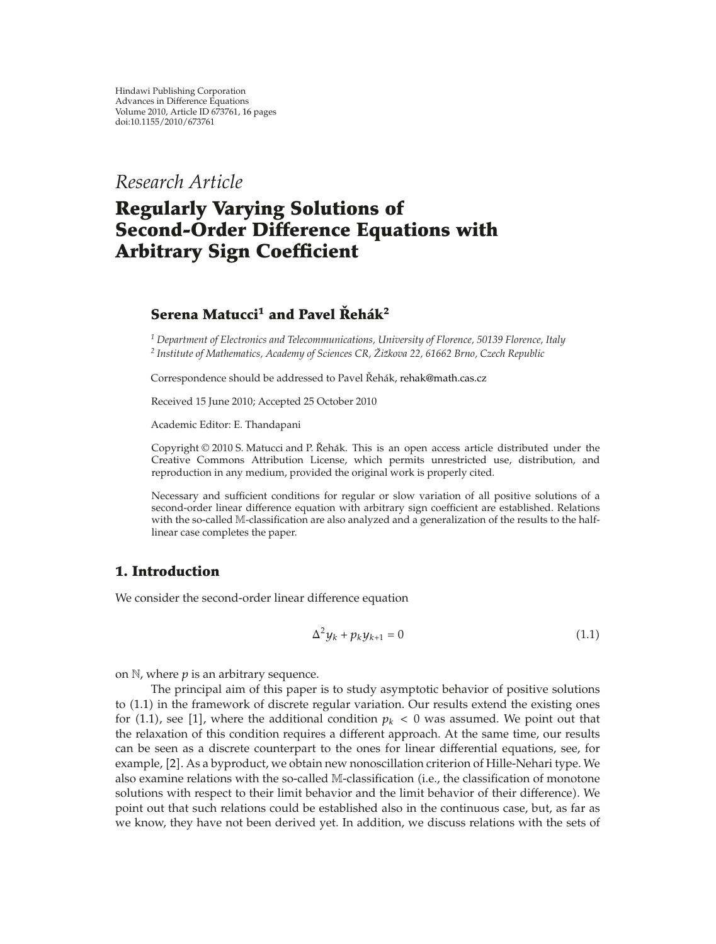*Research Article*

# **Regularly Varying Solutions of Second-Order Difference Equations with Arbitrary Sign Coefficient**

# **Serena Matucci<sup>1</sup> and Pavel Rehák<sup>2</sup>**

*<sup>1</sup> Department of Electronics and Telecommunications, University of Florence, 50139 Florence, Italy <sup>2</sup> Institute of Mathematics, Academy of Sciences CR, Zi ˇ zkova 22, 61662 Brno, Czech Republic ˇ*

Correspondence should be addressed to Pavel Řehák, rehak@math.cas.cz

Received 15 June 2010; Accepted 25 October 2010

Academic Editor: E. Thandapani

Copyright  $@ 2010 S$ . Matucci and P. Řehák. This is an open access article distributed under the Creative Commons Attribution License, which permits unrestricted use, distribution, and reproduction in any medium, provided the original work is properly cited.

Necessary and sufficient conditions for regular or slow variation of all positive solutions of a second-order linear difference equation with arbitrary sign coefficient are established. Relations with the so-called M-classification are also analyzed and a generalization of the results to the halflinear case completes the paper.

# **1. Introduction**

We consider the second-order linear difference equation

$$
\Delta^2 y_k + p_k y_{k+1} = 0 \tag{1.1}
$$

on  $\mathbb N$ , where  $p$  is an arbitrary sequence.

The principal aim of this paper is to study asymptotic behavior of positive solutions to 1.1 in the framework of discrete regular variation. Our results extend the existing ones for (1.1), see [1], where the additional condition  $p_k < 0$  was assumed. We point out that the relaxation of this condition requires a different approach. At the same time, our results can be seen as a discrete counterpart to the ones for linear differential equations, see, for example, [2]. As a byproduct, we obtain new nonoscillation criterion of Hille-Nehari type. We also examine relations with the so-called M-classification i.e., the classification of monotone solutions with respect to their limit behavior and the limit behavior of their difference). We point out that such relations could be established also in the continuous case, but, as far as we know, they have not been derived yet. In addition, we discuss relations with the sets of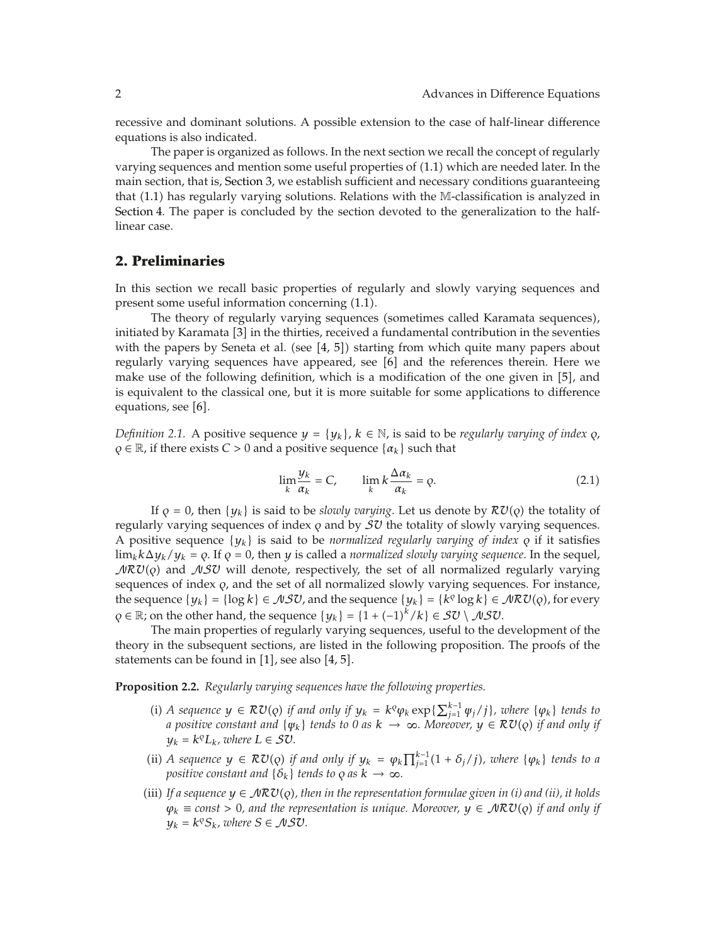recessive and dominant solutions. A possible extension to the case of half-linear difference equations is also indicated.

The paper is organized as follows. In the next section we recall the concept of regularly varying sequences and mention some useful properties of 1.1 which are needed later. In the main section, that is, Section 3, we establish sufficient and necessary conditions guaranteeing that (1.1) has regularly varying solutions. Relations with the M-classification is analyzed in Section 4. The paper is concluded by the section devoted to the generalization to the halflinear case.

# **2. Preliminaries**

In this section we recall basic properties of regularly and slowly varying sequences and present some useful information concerning  $(1.1)$ .

The theory of regularly varying sequences (sometimes called Karamata sequences), initiated by Karamata [3] in the thirties, received a fundamental contribution in the seventies with the papers by Seneta et al. (see  $[4, 5]$ ) starting from which quite many papers about regularly varying sequences have appeared, see [6] and the references therein. Here we make use of the following definition, which is a modification of the one given in [5], and is equivalent to the classical one, but it is more suitable for some applications to difference equations, see [6].

*Definition 2.1.* A positive sequence  $y = \{y_k\}$ ,  $k \in \mathbb{N}$ , is said to be *regularly varying of index*  $\varphi$ ,  $\rho \in \mathbb{R}$ , if there exists *C* > 0 and a positive sequence { $\alpha_k$ } such that

$$
\lim_{k} \frac{y_k}{\alpha_k} = C, \qquad \lim_{k} k \frac{\Delta \alpha_k}{\alpha_k} = \varrho. \tag{2.1}
$$

If  $\rho = 0$ , then  $\{y_k\}$  is said to be *slowly varying*. Let us denote by  $\mathcal{RU}(\rho)$  the totality of regularly varying sequences of index  $\rho$  and by  $\mathcal{SU}$  the totality of slowly varying sequences. A positive sequence  $\{y_k\}$  is said to be *normalized regularly varying of index*  $\varphi$  if it satisfies  $\lim_k k \Delta y_k/y_k = \varrho$ . If  $\varrho = 0$ , then *y* is called a *normalized slowly varying sequence*. In the sequel,  $\mathcal{MRU}(\rho)$  and  $\mathcal{NSU}$  will denote, respectively, the set of all normalized regularly varying sequences of index *q*, and the set of all normalized slowly varying sequences. For instance, the sequence  $\{y_k\} = \{\log k\} \in \mathcal{NSU}$ , and the sequence  $\{y_k\} = \{k^{\rho} \log k\} \in \mathcal{NRU}(\rho)$ , for every *Q* ∈  $\mathbb{R}$ ; on the other hand, the sequence  $\{y_k\} = \{1 + (-1)^k / k\} \in \mathcal{SU} \setminus \mathcal{MSU}$ .

The main properties of regularly varying sequences, useful to the development of the theory in the subsequent sections, are listed in the following proposition. The proofs of the statements can be found in  $[1]$ , see also  $[4, 5]$ .

**Proposition 2.2.** *Regularly varying sequences have the following properties.*

- (i) *A sequence*  $y \in \mathcal{RU}(Q)$  *if and only if*  $y_k = k^Q \varphi_k \exp\{\sum_{j=1}^{k-1} \varphi_j / j\}$ *, where*  $\{\varphi_k\}$  *tends to a positive constant and* {*ψk*} *tends to 0 as k* → ∞*. Moreover, y* ∈ RV*- if and only if*  $y_k = k^q L_k$ *, where*  $L \in \mathcal{SU}$ *.*
- (ii) *A sequence*  $y \in \mathcal{RU}(Q)$  *if and only if*  $y_k = \varphi_k \prod_{j=1}^{k-1} (1 + \delta_j / j)$ *, where*  $\{\varphi_k\}$  *tends to a positive constant and*  $\{ \delta_k \}$  *tends to*  $\varphi$  *as*  $k \to \infty$ *.*
- (iii) If a sequence  $y \in \mathcal{NRU}(\rho)$ , then in the representation formulae given in (i) and (ii), it holds  $\varphi_k \equiv \text{const} > 0$ , and the representation is unique. Moreover,  $y \in \mathcal{NRU}(\rho)$  if and only if  $y_k = k^{\varrho} S_k$ *, where*  $S \in \mathcal{NSU}$ *.*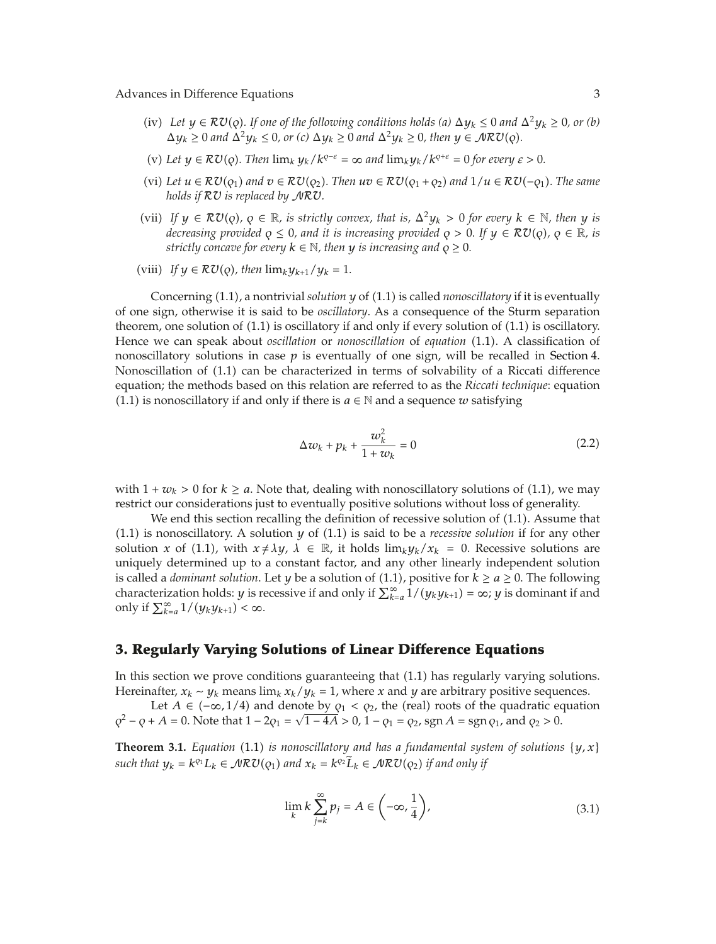- (iv) Let  $y \in \mathcal{RU}(Q)$ . If one of the following conditions holds (a)  $\Delta y_k \leq 0$  and  $\Delta^2 y_k \geq 0$ , or (b)  $\Delta y_k \geq 0$  *and*  $\Delta^2 y_k \leq 0$ *, or (c)*  $\Delta y_k \geq 0$  *and*  $\Delta^2 y_k \geq 0$ *, then*  $y \in \mathcal{MRU}(Q)$ *.*
- (v) Let  $y \in \mathcal{RU}(Q)$ . Then  $\lim_k y_k/k^{q-\varepsilon} = \infty$  and  $\lim_k y_k/k^{q+\varepsilon} = 0$  for every  $\varepsilon > 0$ .
- (vi) Let  $u \in \mathcal{RU}(Q_1)$  and  $v \in \mathcal{RU}(Q_2)$ . Then  $uv \in \mathcal{RU}(Q_1 + Q_2)$  and  $1/u \in \mathcal{RU}(-Q_1)$ . The same *holds if* RV *is replaced by* NRV*.*
- (vii) If  $y \in \mathbb{R} \mathcal{U}(\rho)$ ,  $\rho \in \mathbb{R}$ , is strictly convex, that is,  $\Delta^2 y_k > 0$  for every  $k \in \mathbb{N}$ , then y is *decreasing provided*  $\rho \leq 0$ *, and it is increasing provided*  $\rho > 0$ *. If*  $y \in \mathcal{RU}(\rho)$ *,*  $\rho \in \mathbb{R}$ *, is strictly concave for every*  $k \in \mathbb{N}$ , then *y is increasing and*  $\rho \geq 0$ *.*
- (viii) *If*  $y \in \mathcal{RU}(Q)$ , then  $\lim_k y_{k+1}/y_k = 1$ .

Concerning (1.1), a nontrivial *solution*  $y$  of (1.1) is called *nonoscillatory* if it is eventually of one sign, otherwise it is said to be *oscillatory*. As a consequence of the Sturm separation theorem, one solution of  $(1.1)$  is oscillatory if and only if every solution of  $(1.1)$  is oscillatory. Hence we can speak about *oscillation* or *nonoscillation* of *equation* (1.1). A classification of nonoscillatory solutions in case  $p$  is eventually of one sign, will be recalled in Section 4. Nonoscillation of  $(1.1)$  can be characterized in terms of solvability of a Riccati difference equation; the methods based on this relation are referred to as the *Riccati technique*: equation (1.1) is nonoscillatory if and only if there is *a* ∈ N and a sequence *w* satisfying

$$
\Delta w_k + p_k + \frac{w_k^2}{1 + w_k} = 0
$$
\n(2.2)

with  $1 + w_k > 0$  for  $k \ge a$ . Note that, dealing with nonoscillatory solutions of (1.1), we may restrict our considerations just to eventually positive solutions without loss of generality.

We end this section recalling the definition of recessive solution of  $(1.1)$ . Assume that  $(1.1)$  is nonoscillatory. A solution  $\gamma$  of  $(1.1)$  is said to be a *recessive solution* if for any other solution *x* of (1.1), with  $x \neq \lambda y$ ,  $\lambda \in \mathbb{R}$ , it holds  $\lim_{k \to \lambda} y_k / x_k = 0$ . Recessive solutions are uniquely determined up to a constant factor, and any other linearly independent solution is called a *dominant solution*. Let *y* be a solution of (1.1), positive for  $k \ge a \ge 0$ . The following characterization holds: *y* is recessive if and only if  $\sum_{k=a}^{\infty} 1/(y_k y_{k+1}) = \infty$ ; *y* is dominant if and only if  $\sum_{k=a}^{\infty} 1/(y_k y_{k+1}) < \infty$ .

### **3. Regularly Varying Solutions of Linear Difference Equations**

In this section we prove conditions guaranteeing that 1.1 has regularly varying solutions. Hereinafter,  $x_k \sim y_k$  means lim<sub>k</sub>  $x_k/y_k = 1$ , where *x* and *y* are arbitrary positive sequences.

Let *A* ∈ ( $-\infty$ , 1/4) and denote by  $\rho_1 < \rho_2$ , the (real) roots of the quadratic equation  $\varphi^2 - \varphi + A = 0$ . Note that  $1 - 2\varphi_1 = \sqrt{1 - 4A} > 0$ ,  $1 - \varphi_1 = \varphi_2$ , sgn  $A = \text{sgn } \varphi_1$ , and  $\varphi_2 > 0$ .

**Theorem 3.1.** *Equation* (1.1) *is nonoscillatory and has a fundamental system of solutions*  $\{y, x\}$ *such that*  $y_k = k^{q_1}L_k \in \mathcal{MRU}(q_1)$  and  $x_k = k^{q_2}L_k \in \mathcal{MRU}(q_2)$  if and only if

$$
\lim_{k} k \sum_{j=k}^{\infty} p_j = A \in \left( -\infty, \frac{1}{4} \right),\tag{3.1}
$$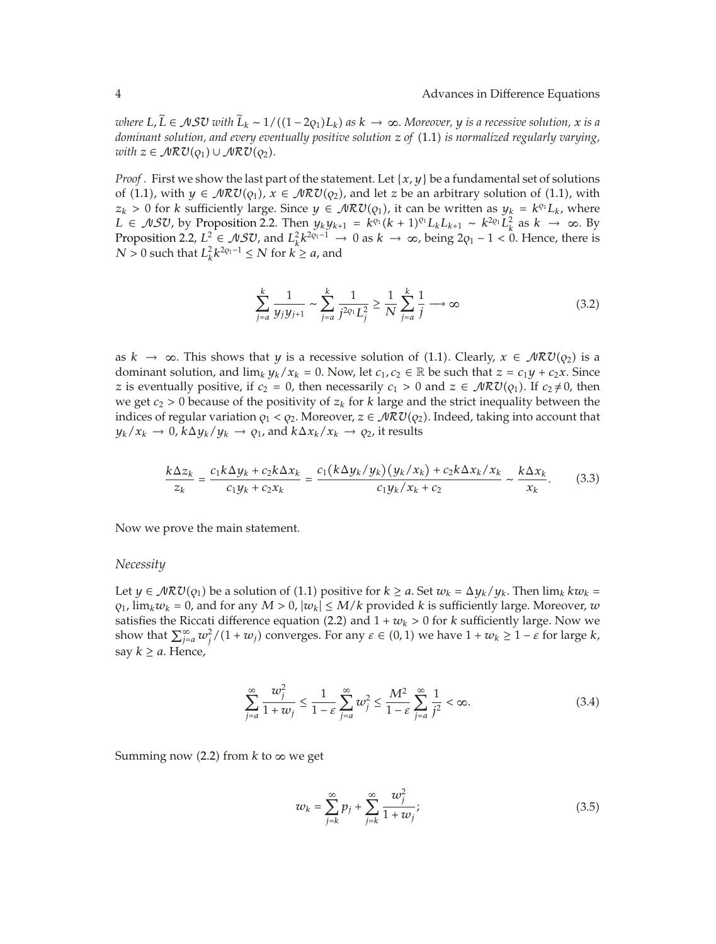*where*  $L, L \in \mathcal{NSU}$  *with*  $L_k \sim 1/((1-2\varrho_1)L_k)$  as  $k \to \infty$ . Moreover,  $y$  is a recessive solution,  $x$  is a *dominant solution, and every eventually positive solution z of* 1.1 *is normalized regularly varying,*  $with z \in \mathcal{NRU}(Q_1) \cup \mathcal{MRU}(Q_2).$ 

*Proof .* First we show the last part of the statement. Let  $\{x, y\}$  be a fundamental set of solutions of (1.1), with  $y \in \mathcal{MRU}(q_1)$ ,  $x \in \mathcal{MRU}(q_2)$ , and let *z* be an arbitrary solution of (1.1), with *z<sub>k</sub>* > 0 for *k* sufficiently large. Since *y* ∈  $\mathcal{NRU}(q_1)$ , it can be written as  $y_k = k^{q_1}L_k$ , where *L* ∈ *NSU*, by Proposition 2.2. Then  $y_k y_{k+1} = k^{o_1} (k+1)^{o_1} L_k L_{k+1} \sim k^{2o_1} L_k^2$  as  $k \to \infty$ . By Proposition 2.2,  $L^2 \in \mathcal{NSU}$ , and  $L^2_k k^{2q-1} \to 0$  as  $k \to \infty$ , being  $2q_1 - 1 < 0$ . Hence, there is  $N > 0$  such that  $L_k^2 k^{2q_1 - 1} \leq N$  for  $k \geq a$ , and

$$
\sum_{j=a}^{k} \frac{1}{y_j y_{j+1}} \sim \sum_{j=a}^{k} \frac{1}{j^{2\varphi_1} L_j^2} \ge \frac{1}{N} \sum_{j=a}^{k} \frac{1}{j} \longrightarrow \infty
$$
\n(3.2)

as  $k \to \infty$ . This shows that *y* is a recessive solution of (1.1). Clearly,  $x \in \mathcal{MRU}(\varrho_2)$  is a dominant solution, and  $\lim_k y_k/x_k = 0$ . Now, let  $c_1, c_2 \in \mathbb{R}$  be such that  $z = c_1y + c_2x$ . Since *z* is eventually positive, if  $c_2 = 0$ , then necessarily  $c_1 > 0$  and  $z \in \mathcal{NRU}(q_1)$ . If  $c_2 \neq 0$ , then we get  $c_2 > 0$  because of the positivity of  $z_k$  for *k* large and the strict inequality between the indices of regular variation  $\rho_1 < \rho_2$ . Moreover,  $z \in \mathcal{NRU}(\rho_2)$ . Indeed, taking into account that  $y_k/x_k \to 0$ ,  $k\Delta y_k/y_k \to \varrho_1$ , and  $k\Delta x_k/x_k \to \varrho_2$ , it results

$$
\frac{k\Delta z_k}{z_k} = \frac{c_1 k \Delta y_k + c_2 k \Delta x_k}{c_1 y_k + c_2 x_k} = \frac{c_1 (k \Delta y_k / y_k) (y_k / x_k) + c_2 k \Delta x_k / x_k}{c_1 y_k / x_k + c_2} \sim \frac{k \Delta x_k}{x_k}.
$$
(3.3)

Now we prove the main statement.

#### *Necessity*

Let  $y \in \mathcal{MRU}(q_1)$  be a solution of (1.1) positive for  $k \ge a$ . Set  $w_k = \Delta y_k / y_k$ . Then  $\lim_k k w_k =$  $\varphi_1$ ,  $\lim_k w_k = 0$ , and for any  $M > 0$ ,  $|w_k| \le M/k$  provided *k* is sufficiently large. Moreover, *w* satisfies the Riccati difference equation (2.2) and  $1 + w_k > 0$  for *k* sufficiently large. Now we show that  $\sum_{j=a}^{\infty} w_j^2/(1+w_j)$  converges. For any  $\varepsilon \in (0,1)$  we have  $1+w_k \geq 1-\varepsilon$  for large  $k$ , say  $k \ge a$ . Hence,

$$
\sum_{j=a}^{\infty} \frac{w_j^2}{1+w_j} \le \frac{1}{1-\varepsilon} \sum_{j=a}^{\infty} w_j^2 \le \frac{M^2}{1-\varepsilon} \sum_{j=a}^{\infty} \frac{1}{j^2} < \infty.
$$
 (3.4)

Summing now (2.2) from  $k$  to  $\infty$  we get

$$
w_k = \sum_{j=k}^{\infty} p_j + \sum_{j=k}^{\infty} \frac{w_j^2}{1 + w_j};
$$
\n(3.5)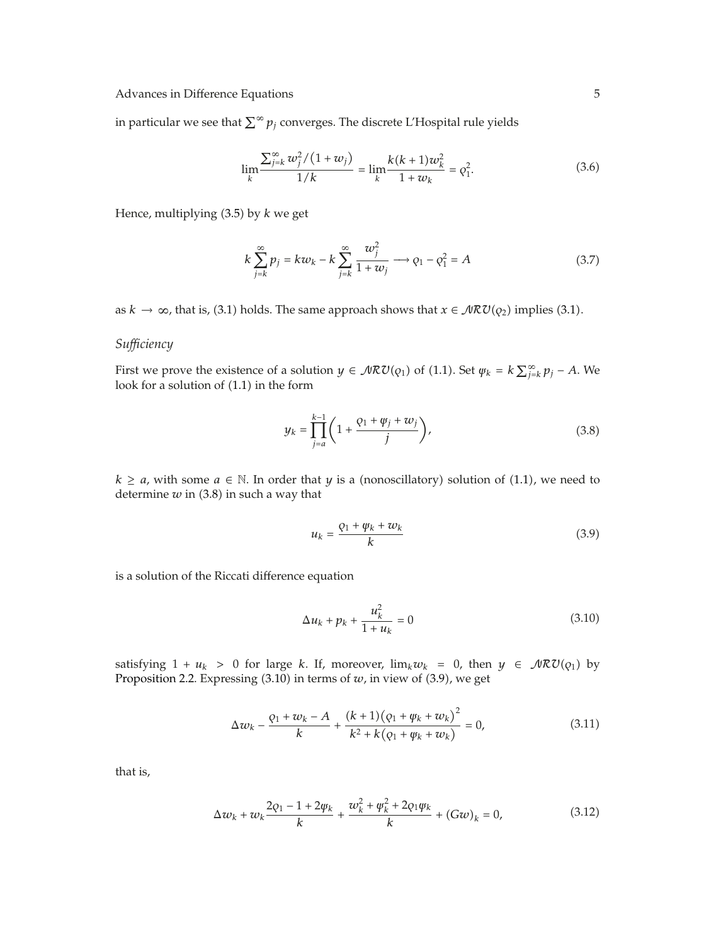in particular we see that  $\sum^\infty p_j$  converges. The discrete L'Hospital rule yields

$$
\lim_{k} \frac{\sum_{j=k}^{\infty} w_j^2 / (1 + w_j)}{1/k} = \lim_{k} \frac{k(k+1)w_k^2}{1 + w_k} = \varrho_1^2.
$$
 (3.6)

Hence, multiplying (3.5) by *k* we get

$$
k\sum_{j=k}^{\infty} p_j = k w_k - k \sum_{j=k}^{\infty} \frac{w_j^2}{1 + w_j} \longrightarrow \rho_1 - \rho_1^2 = A
$$
 (3.7)

as  $k \to \infty$ , that is, (3.1) holds. The same approach shows that  $x \in \mathcal{MRU}(\varrho_2)$  implies (3.1).

# *Sufficiency*

First we prove the existence of a solution  $y \in \mathcal{NRU}(q_1)$  of (1.1). Set  $\psi_k = k \sum_{j=k}^{\infty} p_j - A$ . We look for a solution of  $(1.1)$  in the form

$$
y_k = \prod_{j=a}^{k-1} \left( 1 + \frac{\varrho_1 + \psi_j + w_j}{j} \right),
$$
 (3.8)

*k* ≥ *a*, with some  $a \in \mathbb{N}$ . In order that *y* is a (nonoscillatory) solution of (1.1), we need to determine  $w$  in (3.8) in such a way that

$$
u_k = \frac{Q_1 + \psi_k + w_k}{k} \tag{3.9}
$$

is a solution of the Riccati difference equation

$$
\Delta u_k + p_k + \frac{u_k^2}{1 + u_k} = 0 \tag{3.10}
$$

satisfying  $1 + u_k > 0$  for large *k*. If, moreover,  $\lim_k w_k = 0$ , then  $y \in \mathcal{MRU}(q_1)$  by Proposition 2.2. Expressing  $(3.10)$  in terms of  $w$ , in view of  $(3.9)$ , we get

$$
\Delta w_k - \frac{\varphi_1 + w_k - A}{k} + \frac{(k+1)(\varphi_1 + \psi_k + w_k)^2}{k^2 + k(\varphi_1 + \psi_k + w_k)} = 0,
$$
\n(3.11)

that is,

$$
\Delta w_k + w_k \frac{2q_1 - 1 + 2\psi_k}{k} + \frac{w_k^2 + \psi_k^2 + 2q_1\psi_k}{k} + (Gw)_k = 0,
$$
\n(3.12)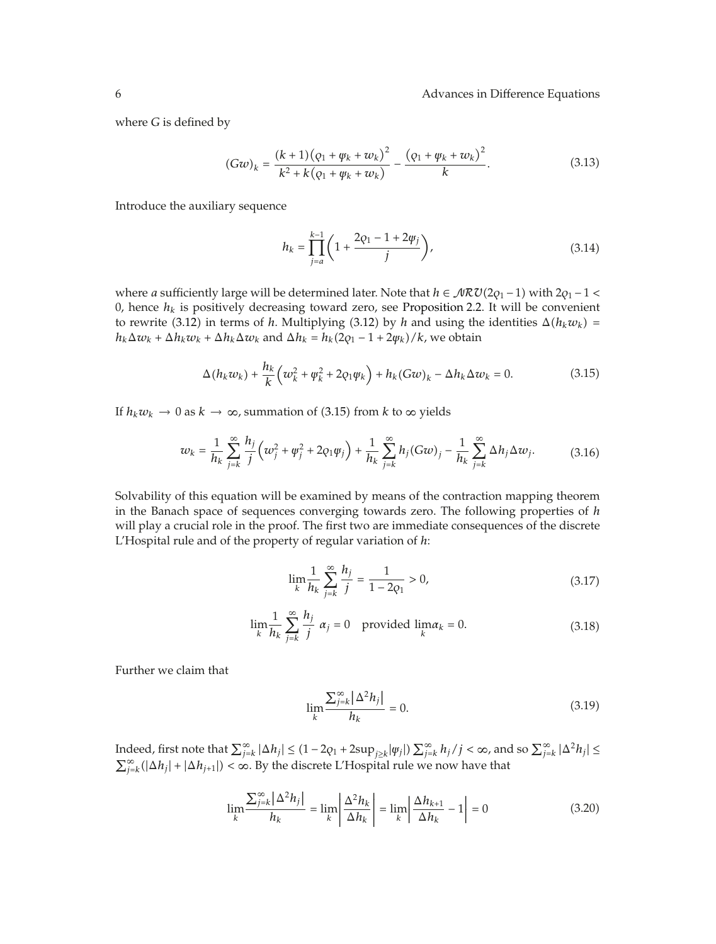where *G* is defined by

$$
(Gw)_k = \frac{(k+1)(\varphi_1 + \varphi_k + w_k)^2}{k^2 + k(\varphi_1 + \varphi_k + w_k)} - \frac{(\varphi_1 + \varphi_k + w_k)^2}{k}.
$$
\n(3.13)

Introduce the auxiliary sequence

$$
h_k = \prod_{j=a}^{k-1} \left( 1 + \frac{2\varphi_1 - 1 + 2\psi_j}{j} \right),\tag{3.14}
$$

where *a* sufficiently large will be determined later. Note that  $h \in \mathcal{MRU}(2q_1 - 1)$  with  $2q_1 - 1 <$ 0, hence  $h_k$  is positively decreasing toward zero, see Proposition 2.2. It will be convenient to rewrite (3.12) in terms of *h*. Multiplying (3.12) by *h* and using the identities  $\Delta(h_k w_k)$  = *h<sub>k</sub>*Δ*w<sub>k</sub>* + Δ*h<sub>k</sub>w<sub>k</sub>* + Δ*h<sub>k</sub>* $\Delta w_k$  and Δ*h<sub>k</sub>* = *h<sub>k</sub>*(2*q*<sub>1</sub> - 1 + 2*ψ<sub>k</sub>)/k,* we obtain

$$
\Delta(h_k w_k) + \frac{h_k}{k} \left( w_k^2 + \varphi_k^2 + 2 \varphi_1 \varphi_k \right) + h_k (Gw)_k - \Delta h_k \Delta w_k = 0. \tag{3.15}
$$

If  $h_k w_k \to 0$  as  $k \to \infty$ , summation of (3.15) from  $k$  to  $\infty$  yields

$$
w_k = \frac{1}{h_k} \sum_{j=k}^{\infty} \frac{h_j}{j} \left( w_j^2 + \psi_j^2 + 2\varphi_1 \psi_j \right) + \frac{1}{h_k} \sum_{j=k}^{\infty} h_j (Gw)_j - \frac{1}{h_k} \sum_{j=k}^{\infty} \Delta h_j \Delta w_j.
$$
 (3.16)

Solvability of this equation will be examined by means of the contraction mapping theorem in the Banach space of sequences converging towards zero. The following properties of *h* will play a crucial role in the proof. The first two are immediate consequences of the discrete L'Hospital rule and of the property of regular variation of *h*:

$$
\lim_{k} \frac{1}{h_k} \sum_{j=k}^{\infty} \frac{h_j}{j} = \frac{1}{1 - 2q_1} > 0,
$$
\n(3.17)

$$
\lim_{k} \frac{1}{h_k} \sum_{j=k}^{\infty} \frac{h_j}{j} \alpha_j = 0 \quad \text{provided } \lim_{k} \alpha_k = 0. \tag{3.18}
$$

Further we claim that

$$
\lim_{k} \frac{\sum_{j=k}^{\infty} |\Delta^2 h_j|}{h_k} = 0.
$$
\n(3.19)

 $\int_{-i\infty}^{\infty}$  *j*<sub>i</sub> and so  $\sum_{j=k}^{\infty} |\Delta h_j| \le (1 - 2q_1 + 2\sup_{j \ge k} |\psi_j|) \sum_{j=k}^{\infty} h_j / j < \infty$ , and so  $\sum_{j=k}^{\infty} |\Delta^2 h_j| \le$  $\sum_{j=k}^{\infty}(|\Delta h_j| + |\Delta h_{j+1}|) < \infty$ . By the discrete L'Hospital rule we now have that

$$
\lim_{k} \frac{\sum_{j=k}^{\infty} |\Delta^2 h_j|}{h_k} = \lim_{k} \left| \frac{\Delta^2 h_k}{\Delta h_k} \right| = \lim_{k} \left| \frac{\Delta h_{k+1}}{\Delta h_k} - 1 \right| = 0 \tag{3.20}
$$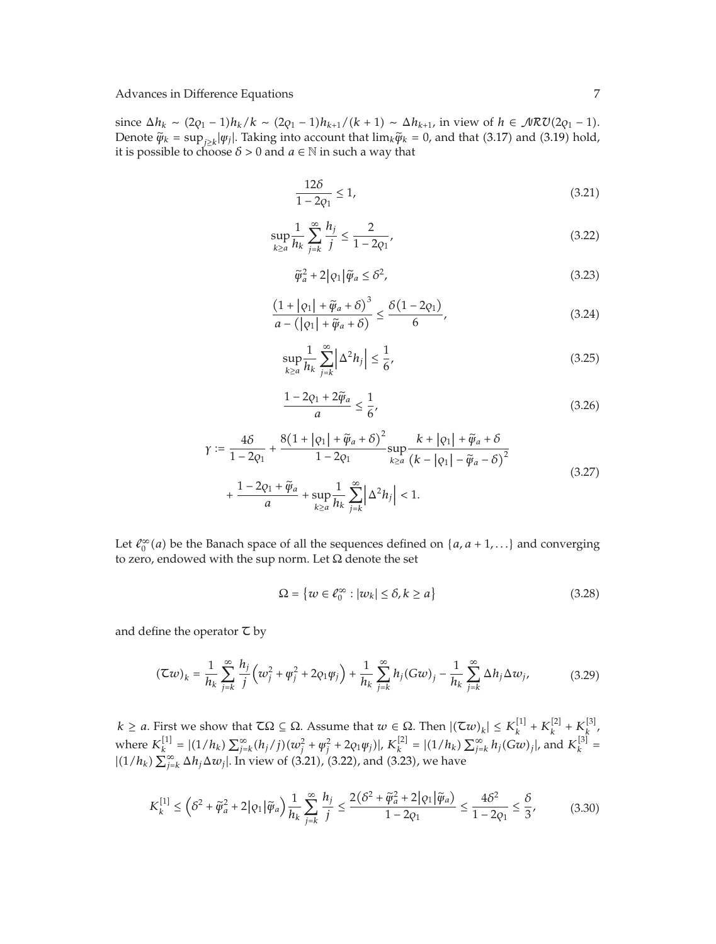since  $\Delta h_k \sim (2q_1 - 1)h_k/k \sim (2q_1 - 1)h_{k+1}/(k+1) \sim \Delta h_{k+1}$ , in view of  $h \in \mathcal{MRU}(2q_1 - 1)$ . Denote  $\widetilde{\psi}_k = \sup_{j \geq k} |\psi_j|$ . Taking into account that  $\lim_k \widetilde{\psi}_k = 0$ , and that (3.17) and (3.19) hold, it is possible to choose  $\delta > 0$  and  $a \in \mathbb{N}$  in such a way that

$$
\frac{12\delta}{1 - 2q_1} \le 1,\tag{3.21}
$$

$$
\sup_{k\ge a} \frac{1}{h_k} \sum_{j=k}^{\infty} \frac{h_j}{j} \le \frac{2}{1 - 2q_1},\tag{3.22}
$$

$$
\tilde{\psi}_a^2 + 2|\varphi_1|\tilde{\psi}_a \le \delta^2,\tag{3.23}
$$

$$
\frac{\left(1+|q_1|+\tilde{\psi}_a+\delta\right)^3}{a-\left(|q_1|+\tilde{\psi}_a+\delta\right)} \le \frac{\delta\left(1-2q_1\right)}{6},\tag{3.24}
$$

$$
\sup_{k\geq a} \frac{1}{h_k} \sum_{j=k}^{\infty} \left| \Delta^2 h_j \right| \leq \frac{1}{6},\tag{3.25}
$$

$$
\frac{1-2\varphi_1+2\widetilde{\psi}_a}{a} \le \frac{1}{6},\tag{3.26}
$$

$$
\gamma := \frac{4\delta}{1 - 2q_1} + \frac{8(1 + |\varphi_1| + \tilde{\varphi}_a + \delta)^2}{1 - 2q_1} \sup_{k \ge a} \frac{k + |\varphi_1| + \tilde{\varphi}_a + \delta}{(k - |\varphi_1| - \tilde{\varphi}_a - \delta)^2} + \frac{1 - 2\varphi_1 + \tilde{\varphi}_a}{a} + \sup_{k \ge a} \frac{1}{h_k} \sum_{j=k}^{\infty} |\Delta^2 h_j| < 1. \tag{3.27}
$$

Let  $\ell_0^{\infty}(a)$  be the Banach space of all the sequences defined on  $\{a, a+1,...\}$  and converging to zero, endowed with the sup norm. Let  $\Omega$  denote the set

$$
\Omega = \{ w \in \ell_0^{\infty} : |w_k| \le \delta, k \ge a \}
$$
\n(3.28)

and define the operator  $\tau$  by

$$
(\mathcal{Z}w)_k = \frac{1}{h_k} \sum_{j=k}^{\infty} \frac{h_j}{j} \left( w_j^2 + \psi_j^2 + 2\varrho_1 \psi_j \right) + \frac{1}{h_k} \sum_{j=k}^{\infty} h_j (Gw)_j - \frac{1}{h_k} \sum_{j=k}^{\infty} \Delta h_j \Delta w_j,
$$
(3.29)

 $k \ge a$ . First we show that  $\mathcal{I}\Omega \subseteq \Omega$ . Assume that  $w \in \Omega$ . Then  $|(\mathcal{I}w)_k| \le K_k^{[1]} + K_k^{[2]} + K_k^{[3]}$ , where  $K_k^{[1]} = |(1/h_k) \sum_{j=k}^{\infty} (h_j/j)(w_j^2 + \psi_j^2 + 2q_1\psi_j)|$ ,  $K_k^{[2]} = |(1/h_k) \sum_{j=k}^{\infty} h_j(Gw)_j|$ , and  $K_k^{[3]} =$  $|(1/h_k)\sum_{j=k}^{\infty}\Delta h_j\Delta w_j|.$  In view of (3.21), (3.22), and (3.23), we have

$$
K_k^{[1]} \le \left(\delta^2 + \tilde{\varphi}_a^2 + 2|\varphi_1|\tilde{\varphi}_a\right) \frac{1}{h_k} \sum_{j=k}^{\infty} \frac{h_j}{j} \le \frac{2\left(\delta^2 + \tilde{\varphi}_a^2 + 2|\varphi_1|\tilde{\varphi}_a\right)}{1 - 2\varphi_1} \le \frac{4\delta^2}{1 - 2\varphi_1} \le \frac{\delta}{3},\tag{3.30}
$$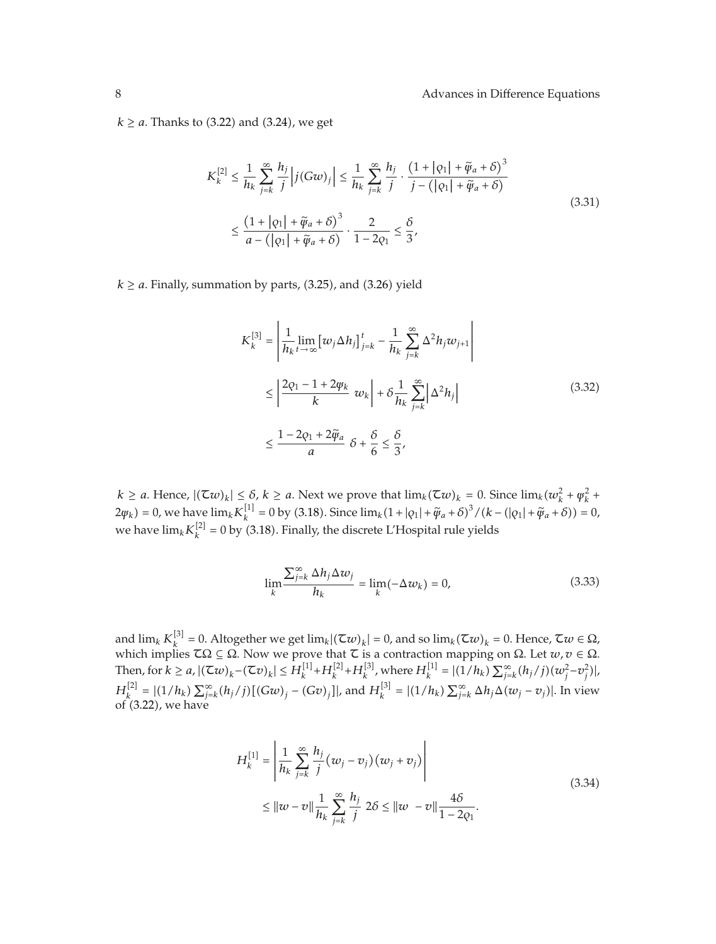$k \ge a$ . Thanks to (3.22) and (3.24), we get

$$
K_k^{[2]} \le \frac{1}{h_k} \sum_{j=k}^{\infty} \frac{h_j}{j} \left| j(Gw)_j \right| \le \frac{1}{h_k} \sum_{j=k}^{\infty} \frac{h_j}{j} \cdot \frac{\left(1 + |q_1| + \tilde{\varphi}_a + \delta\right)^3}{j - \left(|q_1| + \tilde{\varphi}_a + \delta\right)}
$$
  

$$
\le \frac{\left(1 + |q_1| + \tilde{\varphi}_a + \delta\right)^3}{a - \left(|q_1| + \tilde{\varphi}_a + \delta\right)} \cdot \frac{2}{1 - 2q_1} \le \frac{\delta}{3},
$$
\n
$$
(3.31)
$$

 $k \ge a$ . Finally, summation by parts, (3.25), and (3.26) yield

$$
K_k^{[3]} = \left| \frac{1}{h_k} \lim_{t \to \infty} \left[ w_j \Delta h_j \right]_{j=k}^t - \frac{1}{h_k} \sum_{j=k}^{\infty} \Delta^2 h_j w_{j+1} \right|
$$
  

$$
\leq \left| \frac{2\varrho_1 - 1 + 2\psi_k}{k} w_k \right| + \delta \frac{1}{h_k} \sum_{j=k}^{\infty} \left| \Delta^2 h_j \right|
$$
  

$$
\leq \frac{1 - 2\varrho_1 + 2\widetilde{\psi}_a}{a} \delta + \frac{\delta}{6} \leq \frac{\delta}{3},
$$
 (3.32)

 $k \ge a$ . Hence,  $|(\mathcal{I}w)_k| \le \delta$ ,  $k \ge a$ . Next we prove that  $\lim_k (\mathcal{I}w)_k = 0$ . Since  $\lim_k (w_k^2 + \psi_k^2 + \psi_k^2)$  $2\psi_k$  = 0, we have  $\lim_k K_k^{[1]} = 0$  by (3.18). Since  $\lim_k (1 + |\varphi_1| + \tilde{\psi}_a + \delta)^3 / (k - (|\varphi_1| + \tilde{\psi}_a + \delta)) = 0$ , we have  $\lim_k K_k^{[2]} = 0$  by (3.18). Finally, the discrete L'Hospital rule yields

$$
\lim_{k} \frac{\sum_{j=k}^{\infty} \Delta h_j \Delta w_j}{h_k} = \lim_{k} (-\Delta w_k) = 0,
$$
\n(3.33)

and  $\lim_k K_k^{[3]} = 0$ . Altogether we get  $\lim_k |(\tau w)_k| = 0$ , and so  $\lim_k (\tau w)_k = 0$ . Hence,  $\tau w \in \Omega$ , which implies  $\mathcal{I}\Omega \subseteq \Omega$ . Now we prove that  $\mathcal L$  is a contraction mapping on  $\Omega$ . Let  $w, v \in \Omega$ . Then, for  $k \ge a$ ,  $|(\mathcal{Z}w)_k - (\mathcal{Z}v)_k| \le H_k^{[1]} + H_k^{[2]} + H_k^{[3]}$ , where  $H_k^{[1]} = |(1/h_k) \sum_{j=k}^{\infty} (h_j/j)(w_j^2 - v_j^2)|$  $H_k^{[2]} = |(1/h_k) \sum_{j=k}^{\infty} (h_j/j)[(Gw)_j - (Gv)_j]|$ , and  $H_k^{[3]} = |(1/h_k) \sum_{j=k}^{\infty} \Delta h_j \Delta (w_j - v_j)|$ . In view of 3.22, we have

$$
H_k^{[1]} = \left| \frac{1}{h_k} \sum_{j=k}^{\infty} \frac{h_j}{j} (w_j - v_j) (w_j + v_j) \right|
$$
  
\n
$$
\leq ||w - v|| \frac{1}{h_k} \sum_{j=k}^{\infty} \frac{h_j}{j} 2\delta \leq ||w - v|| \frac{4\delta}{1 - 2\varrho_1}.
$$
\n(3.34)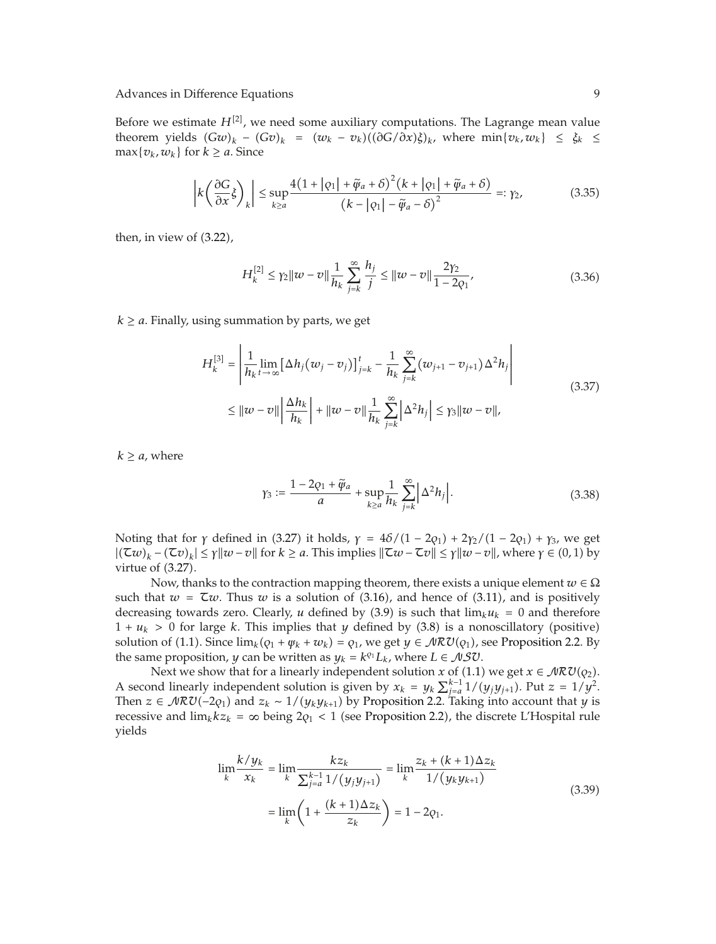Before we estimate  $H^{[2]}$ , we need some auxiliary computations. The Lagrange mean value theorem yields  $(Gw)_k - (Gv)_k = (w_k - v_k)((\partial G/\partial x)\xi)_k$ , where  $\min\{v_k, w_k\} \leq \xi_k \leq$  $\max\{v_k, w_k\}$  for  $k \ge a$ . Since

$$
\left| k \left( \frac{\partial G}{\partial x} \xi \right)_k \right| \le \sup_{k \ge a} \frac{4(1 + |\varphi_1| + \widetilde{\varphi}_a + \delta)^2 (k + |\varphi_1| + \widetilde{\varphi}_a + \delta)}{(k - |\varphi_1| - \widetilde{\varphi}_a - \delta)^2} =: \gamma_2,
$$
(3.35)

then, in view of  $(3.22)$ ,

$$
H_k^{[2]} \le \gamma_2 \|w - v\| \frac{1}{h_k} \sum_{j=k}^{\infty} \frac{h_j}{j} \le \|w - v\| \frac{2\gamma_2}{1 - 2\varrho_1},\tag{3.36}
$$

 $k \ge a$ . Finally, using summation by parts, we get

$$
H_{k}^{[3]} = \left| \frac{1}{h_{k}} \lim_{t \to \infty} \left[ \Delta h_{j} (w_{j} - v_{j}) \right]_{j=k}^{t} - \frac{1}{h_{k}} \sum_{j=k}^{\infty} (w_{j+1} - v_{j+1}) \Delta^{2} h_{j} \right|
$$
  
\n
$$
\leq ||w - v|| \left| \frac{\Delta h_{k}}{h_{k}} \right| + ||w - v|| \frac{1}{h_{k}} \sum_{j=k}^{\infty} \left| \Delta^{2} h_{j} \right| \leq \gamma_{3} ||w - v||,
$$
\n(3.37)

 $k \ge a$ , where

$$
\gamma_3 := \frac{1 - 2\varphi_1 + \widetilde{\varphi}_a}{a} + \sup_{k \ge a} \frac{1}{h_k} \sum_{j=k}^{\infty} |\Delta^2 h_j|.
$$
 (3.38)

Noting that for *γ* defined in (3.27) it holds,  $γ = 4δ/(1 – 2φ<sub>1</sub>) + 2γ<sub>2</sub>/(1 – 2φ<sub>1</sub>) + γ<sub>3</sub>$ , we get  $|(\mathcal{T}w)_k - (\mathcal{T}v)_k| \leq \gamma \|w - v\|$  for  $k \geq a$ . This implies  $\|\mathcal{T}w - \mathcal{T}v\| \leq \gamma \|w - v\|$ , where  $\gamma \in (0, 1)$  by virtue of  $(3.27)$ .

Now, thanks to the contraction mapping theorem, there exists a unique element *w* ∈ Ω such that  $w = \tau w$ . Thus *w* is a solution of (3.16), and hence of (3.11), and is positively decreasing towards zero. Clearly, *u* defined by (3.9) is such that  $\lim_k u_k = 0$  and therefore  $1 + u_k > 0$  for large *k*. This implies that *y* defined by (3.8) is a nonoscillatory (positive) solution of (1.1). Since  $\lim_k (q_1 + \psi_k + w_k) = q_1$ , we get  $y \in \mathcal{NRU}(q_1)$ , see Proposition 2.2. By the same proposition, *y* can be written as  $y_k = k^{q_1}L_k$ , where  $L \in \mathcal{NSU}$ .

Next we show that for a linearly independent solution *x* of (1.1) we get  $x \in \mathcal{NRU}(q_2)$ . A second linearly independent solution is given by  $x_k = y_k \sum_{j=a}^{k-1} 1/(y_j y_{j+1})$ . Put  $z = 1/y^2$ . Then *z* ∈  $\mathcal{NRU}(-2q_1)$  and  $z_k \sim 1/(y_k y_{k+1})$  by Proposition 2.2. Taking into account that *y* is recessive and  $\lim_k kz_k = \infty$  being  $2\varrho_1 < 1$  (see Proposition 2.2), the discrete L'Hospital rule yields

$$
\lim_{k} \frac{k/y_k}{x_k} = \lim_{k} \frac{kz_k}{\sum_{j=a}^{k-1} 1/(y_j y_{j+1})} = \lim_{k} \frac{z_k + (k+1)\Delta z_k}{1/(y_k y_{k+1})}
$$
\n
$$
= \lim_{k} \left(1 + \frac{(k+1)\Delta z_k}{z_k}\right) = 1 - 2q_1.
$$
\n(3.39)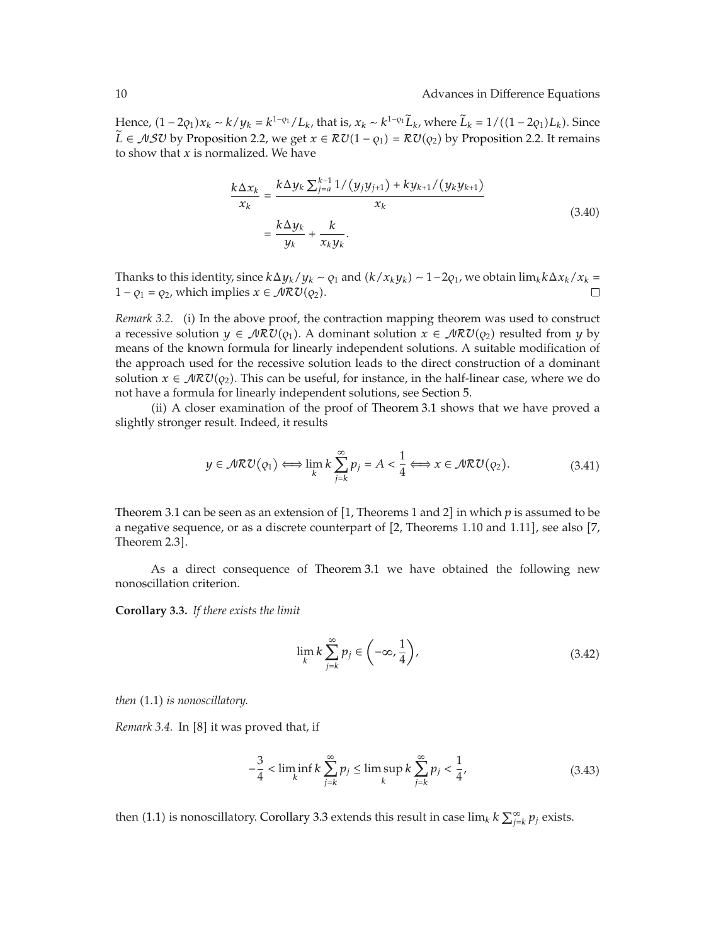Hence,  $(1 - 2q_1)x_k \sim k/y_k = k^{1-q_1}/L_k$ , that is,  $x_k \sim k^{1-q_1}L_k$ , where  $\hat{L}_k = 1/((1 - 2q_1)L_k)$ . Since *L* ∈ *NS*U by Proposition 2.2, we get  $x \in \mathcal{RU}(1 - \rho_1) = \mathcal{RU}(\rho_2)$  by Proposition 2.2. It remains to show that *x* is normalized. We have

$$
\frac{k\Delta x_k}{x_k} = \frac{k\Delta y_k \sum_{j=a}^{k-1} 1/(y_j y_{j+1}) + k y_{k+1}/(y_k y_{k+1})}{x_k} = \frac{k\Delta y_k}{y_k} + \frac{k}{x_k y_k}.
$$
\n(3.40)

Thanks to this identity, since  $k\Delta y_k/y_k \sim \rho_1$  and  $(k/x_ky_k) \sim 1-2\rho_1$ , we obtain  $\lim_k k\Delta x_k/x_k =$  $1 - \varrho_1 = \varrho_2$ , which implies  $x \in \mathcal{NRU}(\varrho_2)$ .

*Remark 3.2.* (i) In the above proof, the contraction mapping theorem was used to construct a recessive solution  $y \in \mathcal{NRU}(\varrho_1)$ . A dominant solution  $x \in \mathcal{NRU}(\varrho_2)$  resulted from  $y$  by means of the known formula for linearly independent solutions. A suitable modification of the approach used for the recessive solution leads to the direct construction of a dominant solution  $x \in \mathcal{NRU}(q_2)$ . This can be useful, for instance, in the half-linear case, where we do not have a formula for linearly independent solutions, see Section 5.

ii A closer examination of the proof of Theorem 3.1 shows that we have proved a slightly stronger result. Indeed, it results

$$
y \in \mathcal{MRU}(\rho_1) \Longleftrightarrow \lim_{k} k \sum_{j=k}^{\infty} p_j = A < \frac{1}{4} \Longleftrightarrow x \in \mathcal{MRU}(\rho_2). \tag{3.41}
$$

Theorem 3.1 can be seen as an extension of [1, Theorems 1 and 2] in which  $p$  is assumed to be a negative sequence, or as a discrete counterpart of [2, Theorems 1.10 and 1.11], see also [7, Theorem 2.3 .

As a direct consequence of Theorem 3.1 we have obtained the following new nonoscillation criterion.

**Corollary 3.3.** *If there exists the limit*

$$
\lim_{k} k \sum_{j=k}^{\infty} p_j \in \left(-\infty, \frac{1}{4}\right),\tag{3.42}
$$

*then* (1.1) *is nonoscillatory*.

*Remark 3.4.* In [8] it was proved that, if

$$
-\frac{3}{4} < \liminf_{k} k \sum_{j=k}^{\infty} p_j \le \limsup_{k} k \sum_{j=k}^{\infty} p_j < \frac{1}{4},
$$
 (3.43)

then (1.1) is nonoscillatory. Corollary 3.3 extends this result in case  $\lim_k k \sum_{j=k}^\infty p_j$  exists.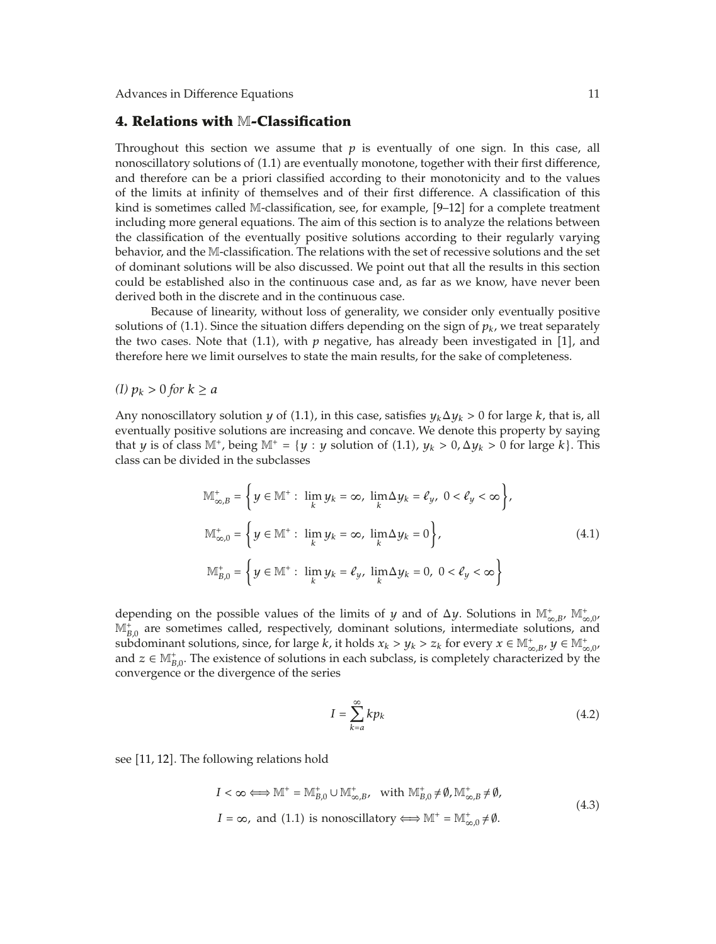#### **4. Relations with** M**-Classification**

Throughout this section we assume that  $p$  is eventually of one sign. In this case, all nonoscillatory solutions of  $(1.1)$  are eventually monotone, together with their first difference, and therefore can be a priori classified according to their monotonicity and to the values of the limits at infinity of themselves and of their first difference. A classification of this kind is sometimes called M-classification, see, for example, [9-12] for a complete treatment including more general equations. The aim of this section is to analyze the relations between the classification of the eventually positive solutions according to their regularly varying behavior, and the M-classification. The relations with the set of recessive solutions and the set of dominant solutions will be also discussed. We point out that all the results in this section could be established also in the continuous case and, as far as we know, have never been derived both in the discrete and in the continuous case.

Because of linearity, without loss of generality, we consider only eventually positive solutions of (1.1). Since the situation differs depending on the sign of  $p_k$ , we treat separately the two cases. Note that  $(1.1)$ , with  $p$  negative, has already been investigated in  $[1]$ , and therefore here we limit ourselves to state the main results, for the sake of completeness.

*(I)*  $p_k > 0$  *for*  $k \ge a$ 

Any nonoscillatory solution *y* of (1.1), in this case, satisfies  $y_k \Delta y_k > 0$  for large *k*, that is, all eventually positive solutions are increasing and concave. We denote this property by saying that *y* is of class  $M^+$ , being  $M^+ = \{y : y$  solution of (1.1),  $y_k > 0$ ,  $\Delta y_k > 0$  for large *k*}. This class can be divided in the subclasses

$$
\mathbb{M}_{\infty,B}^+ = \left\{ y \in \mathbb{M}^+ : \lim_k y_k = \infty, \lim_k \Delta y_k = \ell_y, \ 0 < \ell_y < \infty \right\},\
$$
\n
$$
\mathbb{M}_{\infty,0}^+ = \left\{ y \in \mathbb{M}^+ : \lim_k y_k = \infty, \ \lim_k \Delta y_k = 0 \right\},\
$$
\n
$$
\mathbb{M}_{B,0}^+ = \left\{ y \in \mathbb{M}^+ : \ \lim_k y_k = \ell_y, \ \lim_k \Delta y_k = 0, \ 0 < \ell_y < \infty \right\}
$$
\n
$$
(4.1)
$$

depending on the possible values of the limits of *y* and of  $\Delta y$ . Solutions in  $\mathbb{M}^*_{\infty,B}$ ,  $\mathbb{M}^*_{\infty,0}$ ,  $M_{B,0}^{\hat{i}}$  are sometimes called, respectively, dominant solutions, intermediate solutions, and subdominant solutions, since, for large *k*, it holds  $x_k > y_k > z_k$  for every  $x \in M^+_{\infty, B}$ ,  $y \in M^+_{\infty, 0}$ , and  $z \in \mathbb{M}_{B,0}^+$ . The existence of solutions in each subclass, is completely characterized by the convergence or the divergence of the series

$$
I = \sum_{k=a}^{\infty} k p_k \tag{4.2}
$$

see [11, 12]. The following relations hold

$$
I < \infty \Longleftrightarrow \mathbb{M}^+ = \mathbb{M}_{B,0}^+ \cup \mathbb{M}_{\infty,B}^+, \text{ with } \mathbb{M}_{B,0}^+ \neq \emptyset, \mathbb{M}_{\infty,B}^+ \neq \emptyset,
$$
  
\n
$$
I = \infty, \text{ and } (1.1) \text{ is nonoscillatory} \Longleftrightarrow \mathbb{M}^+ = \mathbb{M}_{\infty,0}^+ \neq \emptyset.
$$
\n
$$
(4.3)
$$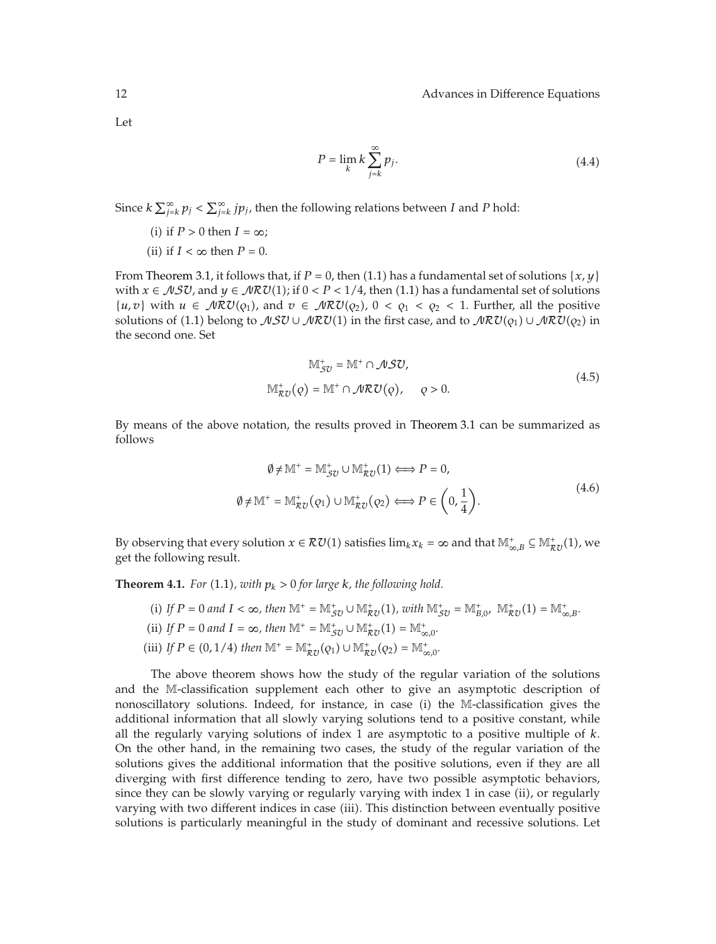Let

$$
P = \lim_{k} k \sum_{j=k}^{\infty} p_j.
$$
 (4.4)

Since  $k \sum_{j=k}^{\infty} p_j < \sum_{j=k}^{\infty} j p_j$ , then the following relations between *I* and *P* hold:

- (i) if  $P > 0$  then  $I = \infty$ ;
- (ii) if  $I < \infty$  then  $P = 0$ .

From Theorem 3.1, it follows that, if  $P = 0$ , then (1.1) has a fundamental set of solutions {*x*, *y*} with  $x \in \mathcal{NSU}$ , and  $y \in \mathcal{NRU}(1)$ ; if  $0 < P < 1/4$ , then (1.1) has a fundamental set of solutions {*u, v*} with *u* ∈  $\mathcal{MRU}(\varrho_1)$ , and *v* ∈  $\mathcal{MRU}(\varrho_2)$ , 0 <  $\varrho_1$  <  $\varrho_2$  < 1. Further, all the positive solutions of (1.1) belong to  $\mathcal{NSU}\cup\mathcal{MRU}(1)$  in the first case, and to  $\mathcal{NRU}(q_1)\cup\mathcal{NRU}(q_2)$  in the second one. Set

$$
\mathbb{M}_{SU}^+ = \mathbb{M}^+ \cap \mathcal{MSU},
$$
  
\n
$$
\mathbb{M}_{RU}^+(\rho) = \mathbb{M}^+ \cap \mathcal{MRU}(\rho), \quad \rho > 0.
$$
\n(4.5)

By means of the above notation, the results proved in Theorem 3.1 can be summarized as follows

$$
\emptyset \neq \mathbb{M}^+ = \mathbb{M}_{\mathcal{SU}}^+ \cup \mathbb{M}_{\mathcal{RU}}^+(1) \Longleftrightarrow P = 0,
$$
  

$$
\emptyset \neq \mathbb{M}^+ = \mathbb{M}_{\mathcal{RU}}^+(\mathbf{Q}_1) \cup \mathbb{M}_{\mathcal{RU}}^+(\mathbf{Q}_2) \Longleftrightarrow P \in \left(0, \frac{1}{4}\right).
$$
 (4.6)

By observing that every solution  $x \in \mathcal{RU}(1)$  satisfies  $\lim_k x_k = \infty$  and that  $\mathbb{M}^*_{\infty,B} \subseteq \mathbb{M}^*_{\mathcal{RU}}(1)$ , we get the following result.

**Theorem 4.1.** *For* (1.1), with  $p_k > 0$  for large *k*, the following hold.

- (i) If  $P = 0$  and  $I < \infty$ , then  $\mathbb{M}^+ = \mathbb{M}^+_{\mathcal{SU}} \cup \mathbb{M}^+_{\mathcal{RU}}(1)$ , with  $\mathbb{M}^+_{\mathcal{SU}} = \mathbb{M}^+_{B,0}$ ,  $\mathbb{M}^+_{\mathcal{RU}}(1) = \mathbb{M}^+_{\infty, B}$ . (ii) If  $P = 0$  and  $I = \infty$ , then  $\mathbb{M}^+ = \mathbb{M}^+_{\mathcal{SU}} \cup \mathbb{M}^+_{\mathcal{RU}}(1) = \mathbb{M}^+_{\infty,0}$ .
- (iii) If  $P \in (0, 1/4)$  then  $\mathbb{M}^+ = \mathbb{M}^+_{\mathcal{RU}}(Q_1) \cup \mathbb{M}^+_{\mathcal{RU}}(Q_2) = \mathbb{M}^+_{\infty,0}$ .

The above theorem shows how the study of the regular variation of the solutions and the M-classification supplement each other to give an asymptotic description of nonoscillatory solutions. Indeed, for instance, in case (i) the  $M$ -classification gives the additional information that all slowly varying solutions tend to a positive constant, while all the regularly varying solutions of index 1 are asymptotic to a positive multiple of *k*. On the other hand, in the remaining two cases, the study of the regular variation of the solutions gives the additional information that the positive solutions, even if they are all diverging with first difference tending to zero, have two possible asymptotic behaviors, since they can be slowly varying or regularly varying with index 1 in case (ii), or regularly varying with two different indices in case (iii). This distinction between eventually positive solutions is particularly meaningful in the study of dominant and recessive solutions. Let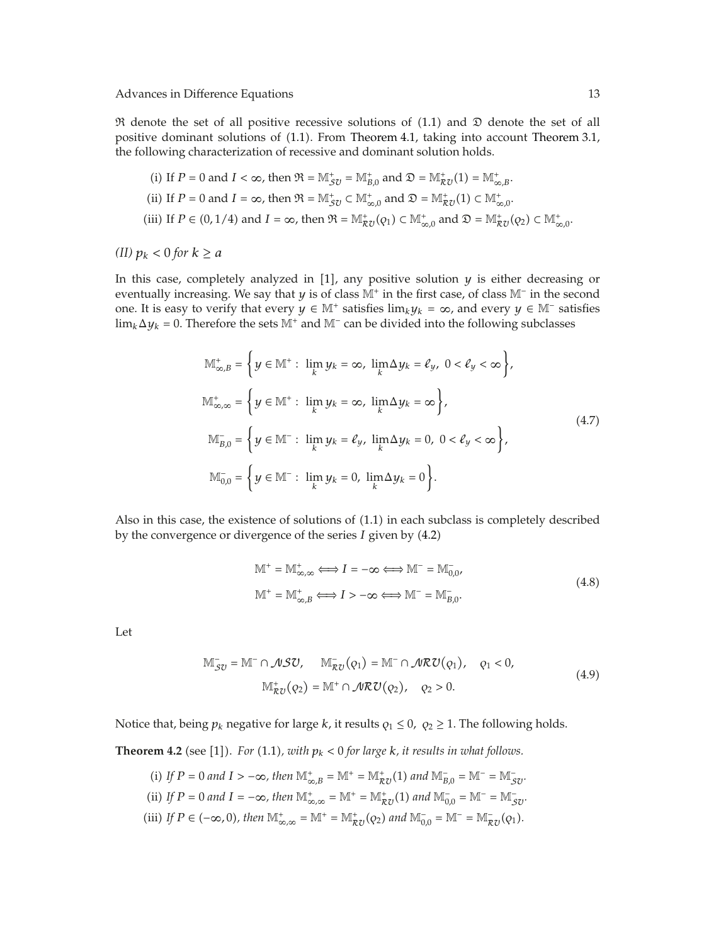$\Re$  denote the set of all positive recessive solutions of (1.1) and  $\Im$  denote the set of all positive dominant solutions of 1.1. From Theorem 4.1, taking into account Theorem 3.1, the following characterization of recessive and dominant solution holds.

\n- (i) If 
$$
P = 0
$$
 and  $I < \infty$ , then  $\mathfrak{R} = \mathbb{M}_{\mathcal{S}U}^+ = \mathbb{M}_{B,0}^+$  and  $\mathfrak{D} = \mathbb{M}_{\mathcal{R}U}^+(1) = \mathbb{M}_{\infty,B}^+.$
\n- (ii) If  $P = 0$  and  $I = \infty$ , then  $\mathfrak{R} = \mathbb{M}_{\mathcal{S}U}^+ \subset \mathbb{M}_{\infty,0}^+$  and  $\mathfrak{D} = \mathbb{M}_{\mathcal{R}U}^+(1) \subset \mathbb{M}_{\infty,0}^+.$
\n- (iii) If  $P \in (0,1/4)$  and  $I = \infty$ , then  $\mathfrak{R} = \mathbb{M}_{\mathcal{R}U}^+(Q_1) \subset \mathbb{M}_{\infty,0}^+$  and  $\mathfrak{D} = \mathbb{M}_{\mathcal{R}U}^+(Q_2) \subset \mathbb{M}_{\infty,0}^+.$
\n

*(II)*  $p_k < 0$  *for*  $k \ge a$ 

In this case, completely analyzed in [1], any positive solution *y* is either decreasing or eventually increasing. We say that *y* is of class M<sup>+</sup> in the first case, of class M<sup>-</sup> in the second one. It is easy to verify that every *y* ∈ M<sup>+</sup> satisfies lim<sub>*k*</sub>*y<sub>k</sub>* = ∞, and every *y* ∈ M<sup>−</sup> satisfies  $\lim_k \Delta y_k = 0$ . Therefore the sets M<sup>+</sup> and M<sup>−</sup> can be divided into the following subclasses

$$
\mathbb{M}_{\infty,B}^+ = \left\{ y \in \mathbb{M}^+ : \lim_k y_k = \infty, \lim_k \Delta y_k = \ell_y, \ 0 < \ell_y < \infty \right\},
$$
\n
$$
\mathbb{M}_{\infty,\infty}^+ = \left\{ y \in \mathbb{M}^+ : \lim_k y_k = \infty, \ \lim_k \Delta y_k = \infty \right\},
$$
\n
$$
\mathbb{M}_{B,0}^- = \left\{ y \in \mathbb{M}^- : \ \lim_k y_k = \ell_y, \ \lim_k \Delta y_k = 0, \ 0 < \ell_y < \infty \right\},
$$
\n
$$
\mathbb{M}_{0,0}^- = \left\{ y \in \mathbb{M}^- : \ \lim_k y_k = 0, \ \lim_k \Delta y_k = 0 \right\}.
$$
\n
$$
(4.7)
$$

Also in this case, the existence of solutions of  $(1.1)$  in each subclass is completely described by the convergence or divergence of the series *I* given by 4.2

$$
\mathbb{M}^+ = \mathbb{M}^+_{\infty,\infty} \Longleftrightarrow I = -\infty \Longleftrightarrow \mathbb{M}^- = \mathbb{M}^-_{0,0},
$$
  

$$
\mathbb{M}^+ = \mathbb{M}^+_{\infty,B} \Longleftrightarrow I > -\infty \Longleftrightarrow \mathbb{M}^- = \mathbb{M}^-_{B,0}.
$$
 (4.8)

Let

$$
\mathbb{M}_{\mathcal{SU}}^- = \mathbb{M}^- \cap \mathcal{MSU}, \quad \mathbb{M}_{\mathcal{RU}}^-(q_1) = \mathbb{M}^- \cap \mathcal{MRU}(q_1), \quad q_1 < 0,
$$
\n
$$
\mathbb{M}_{\mathcal{RU}}^+(q_2) = \mathbb{M}^+ \cap \mathcal{MRU}(q_2), \quad q_2 > 0.
$$
\n
$$
(4.9)
$$

Notice that, being  $p_k$  negative for large  $k$ , it results  $\varrho_1 \leq 0$ ,  $\varrho_2 \geq 1$ . The following holds.

**Theorem 4.2** (see [1]). For (1.1), with  $p_k < 0$  for large  $k$ , it results in what follows.

(i) If 
$$
P = 0
$$
 and  $I > -\infty$ , then  $\mathbb{M}^+_{\infty, B} = \mathbb{M}^+ = \mathbb{M}^+_{\mathcal{R}U}(1)$  and  $\mathbb{M}^-_{B,0} = \mathbb{M}^- = \mathbb{M}^-_{\mathcal{S}U}$ .  
\n(ii) If  $P = 0$  and  $I = -\infty$ , then  $\mathbb{M}^+_{\infty, \infty} = \mathbb{M}^+ = \mathbb{M}^+_{\mathcal{R}U}(1)$  and  $\mathbb{M}^-_{0,0} = \mathbb{M}^- = \mathbb{M}^-_{\mathcal{S}U}$ .

(iii) If  $P \in (-\infty, 0)$ , then  $\mathbb{M}^+_{\infty, \infty} = \mathbb{M}^+ = \mathbb{M}^+_{\mathcal{RU}}(Q_2)$  and  $\mathbb{M}^-_{0,0} = \mathbb{M}^- = \mathbb{M}^-_{\mathcal{RU}}(Q_1)$ .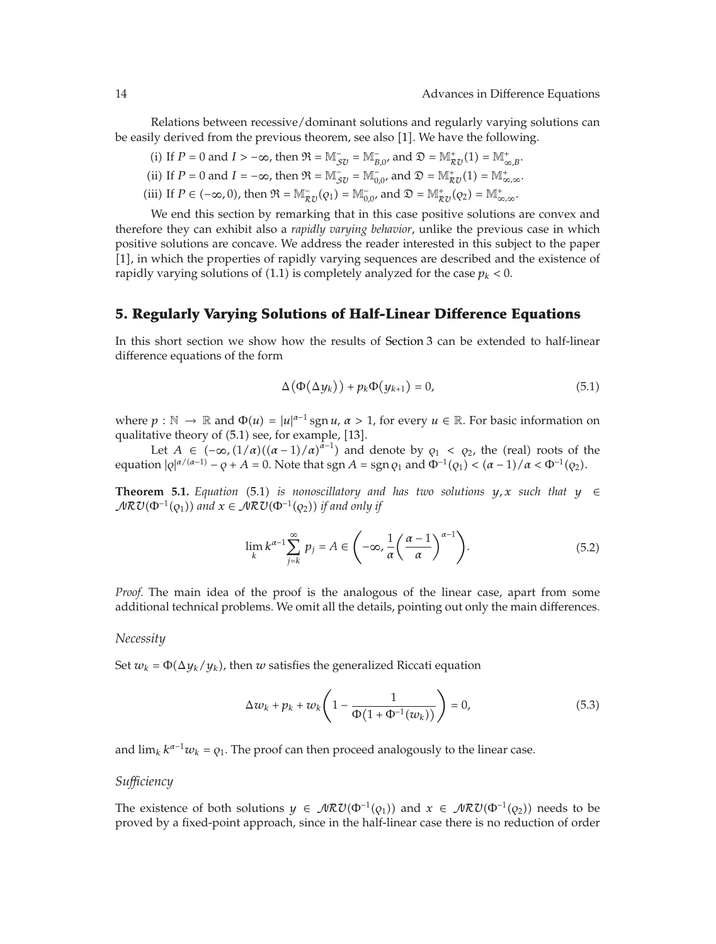Relations between recessive/dominant solutions and regularly varying solutions can be easily derived from the previous theorem, see also [1]. We have the following.

(i) If 
$$
P = 0
$$
 and  $I > -\infty$ , then  $\mathfrak{R} = \mathbb{M}_{\mathcal{SU}}^- = \mathbb{M}_{B,0}^-$ , and  $\mathfrak{D} = \mathbb{M}_{\mathcal{RU}}^+(1) = \mathbb{M}_{\infty,B}^+$ .

(ii) If 
$$
P = 0
$$
 and  $I = -\infty$ , then  $\mathfrak{R} = \mathbb{M}_{\mathfrak{Z}U}^- = \mathbb{M}_{0,0}^-$ , and  $\mathfrak{D} = \mathbb{M}_{\mathcal{RU}}^+(1) = \mathbb{M}_{\infty,\infty}^+$ .

(iii) If  $P \in (-\infty, 0)$ , then  $\mathfrak{R} = \mathbb{M}_{\mathcal{R}U}^-(q_1) = \mathbb{M}_{0,0}^-$ , and  $\mathfrak{D} = \mathbb{M}_{\mathcal{R}U}^+(q_2) = \mathbb{M}_{\infty,\infty}^+$ .

We end this section by remarking that in this case positive solutions are convex and therefore they can exhibit also a *rapidly varying behavior*, unlike the previous case in which positive solutions are concave. We address the reader interested in this subject to the paper [1], in which the properties of rapidly varying sequences are described and the existence of rapidly varying solutions of (1.1) is completely analyzed for the case  $p_k < 0$ .

## **5. Regularly Varying Solutions of Half-Linear Difference Equations**

In this short section we show how the results of Section 3 can be extended to half-linear difference equations of the form

$$
\Delta(\Phi(\Delta y_k)) + p_k \Phi(y_{k+1}) = 0, \qquad (5.1)
$$

where  $p : \mathbb{N} \to \mathbb{R}$  and  $\Phi(u) = |u|^{\alpha-1} \operatorname{sgn} u$ ,  $\alpha > 1$ , for every  $u \in \mathbb{R}$ . For basic information on qualitative theory of  $(5.1)$  see, for example,  $[13]$ .

Let  $A \in (-\infty, (1/\alpha)((\alpha-1)/\alpha)^{\alpha-1})$  and denote by  $\rho_1 < \rho_2$ , the (real) roots of the  $\alpha = \frac{1}{2}$  *a*  $\alpha = \frac{1}{2}$  *a*  $\alpha = \frac{1}{2}$  *a*  $\alpha = \frac{1}{2}$  *a*  $\alpha = \frac{1}{2}$  *a*  $\alpha = \frac{1}{2}$  *a*  $\alpha = \frac{1}{2}$  *a*  $\alpha = \frac{1}{2}$  *a*  $\alpha = \frac{1}{2}$  *a*  $\alpha = \frac{1}{2}$  *a*  $\alpha = \frac{1}{2}$  *a*  $\alpha = \frac{1}{2}$  *a*  $\alpha = \frac{1}{2}$  *a*

**Theorem 5.1.** *Equation* (5.1) *is nonoscillatory and has two solutions*  $y, x$  *such that*  $y \in$  $\mathcal{MRU}(\Phi^{-1}(q_1))$  and  $x \in \mathcal{MRU}(\Phi^{-1}(q_2))$  if and only if

$$
\lim_{k} k^{\alpha-1} \sum_{j=k}^{\infty} p_j = A \in \left( -\infty, \frac{1}{\alpha} \left( \frac{\alpha - 1}{\alpha} \right)^{\alpha - 1} \right).
$$
 (5.2)

*Proof.* The main idea of the proof is the analogous of the linear case, apart from some additional technical problems. We omit all the details, pointing out only the main differences.

#### *Necessity*

Set  $w_k = \Phi(\Delta y_k / y_k)$ , then *w* satisfies the generalized Riccati equation

$$
\Delta w_k + p_k + w_k \left( 1 - \frac{1}{\Phi(1 + \Phi^{-1}(w_k))} \right) = 0, \tag{5.3}
$$

and  $\lim_k k^{\alpha-1}w_k = \varrho_1$ . The proof can then proceed analogously to the linear case.

#### *Sufficiency*

The existence of both solutions  $y \in \mathcal{MRU}(\Phi^{-1}(Q_1))$  and  $x \in \mathcal{MRU}(\Phi^{-1}(Q_2))$  needs to be proved by a fixed-point approach, since in the half-linear case there is no reduction of order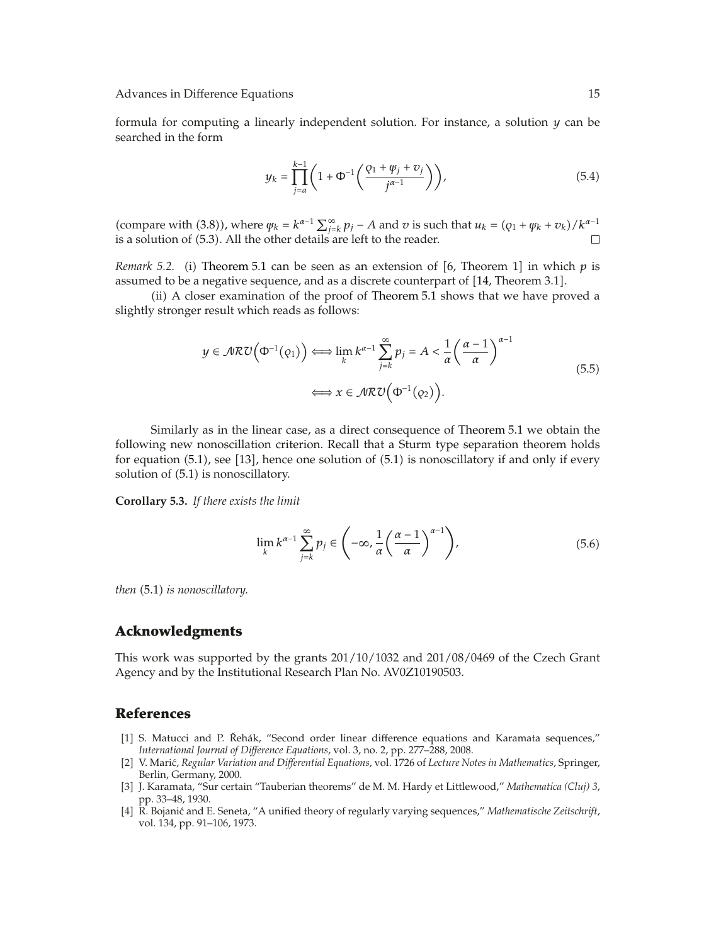formula for computing a linearly independent solution. For instance, a solution *y* can be searched in the form

$$
y_k = \prod_{j=a}^{k-1} \left( 1 + \Phi^{-1} \left( \frac{\varphi_1 + \psi_j + \upsilon_j}{j^{\alpha - 1}} \right) \right),\tag{5.4}
$$

(compare with (3.8)), where  $\psi_k = k^{\alpha-1} \sum_{j=k}^{\infty} p_j - A$  and *v* is such that  $u_k = (q_1 + \psi_k + v_k)/k^{\alpha-1}$ is a solution of  $(5.3)$ . All the other details are left to the reader.  $\Box$ 

*Remark 5.2.* (i) Theorem 5.1 can be seen as an extension of [6, Theorem 1] in which  $p$  is assumed to be a negative sequence, and as a discrete counterpart of  $[14$ , Theorem 3.1].

ii A closer examination of the proof of Theorem 5.1 shows that we have proved a slightly stronger result which reads as follows:

$$
y \in \mathcal{MRU}\left(\Phi^{-1}(q_1)\right) \Longleftrightarrow \lim_{k} k^{\alpha-1} \sum_{j=k}^{\infty} p_j = A < \frac{1}{\alpha} \left(\frac{\alpha-1}{\alpha}\right)^{\alpha-1} \Longleftrightarrow x \in \mathcal{MRU}\left(\Phi^{-1}(q_2)\right). \tag{5.5}
$$

Similarly as in the linear case, as a direct consequence of Theorem 5.1 we obtain the following new nonoscillation criterion. Recall that a Sturm type separation theorem holds for equation  $(5.1)$ , see  $[13]$ , hence one solution of  $(5.1)$  is nonoscillatory if and only if every solution of  $(5.1)$  is nonoscillatory.

**Corollary 5.3.** *If there exists the limit*

$$
\lim_{k} k^{\alpha - 1} \sum_{j=k}^{\infty} p_j \in \left( -\infty, \frac{1}{\alpha} \left( \frac{\alpha - 1}{\alpha} \right)^{\alpha - 1} \right),\tag{5.6}
$$

*then* 5.1 *is nonoscillatory.*

### **Acknowledgments**

This work was supported by the grants 201/10/1032 and 201/08/0469 of the Czech Grant Agency and by the Institutional Research Plan No. AV0Z10190503.

## **References**

- [1] S. Matucci and P. Řehák, "Second order linear difference equations and Karamata sequences," *International Journal of Difference Equations*, vol. 3, no. 2, pp. 277–288, 2008.
- 2 V. Maric,´ *Regular Variation and Differential Equations*, vol. 1726 of *Lecture Notes in Mathematics*, Springer, Berlin, Germany, 2000.
- 3 J. Karamata, "Sur certain "Tauberian theorems" de M. M. Hardy et Littlewood," *Mathematica (Cluj) 3*, pp. 33–48, 1930.
- 4 R. Bojanic and E. Seneta, "A unified theory of regularly varying sequences," ´ *Mathematische Zeitschrift*, vol. 134, pp. 91–106, 1973.